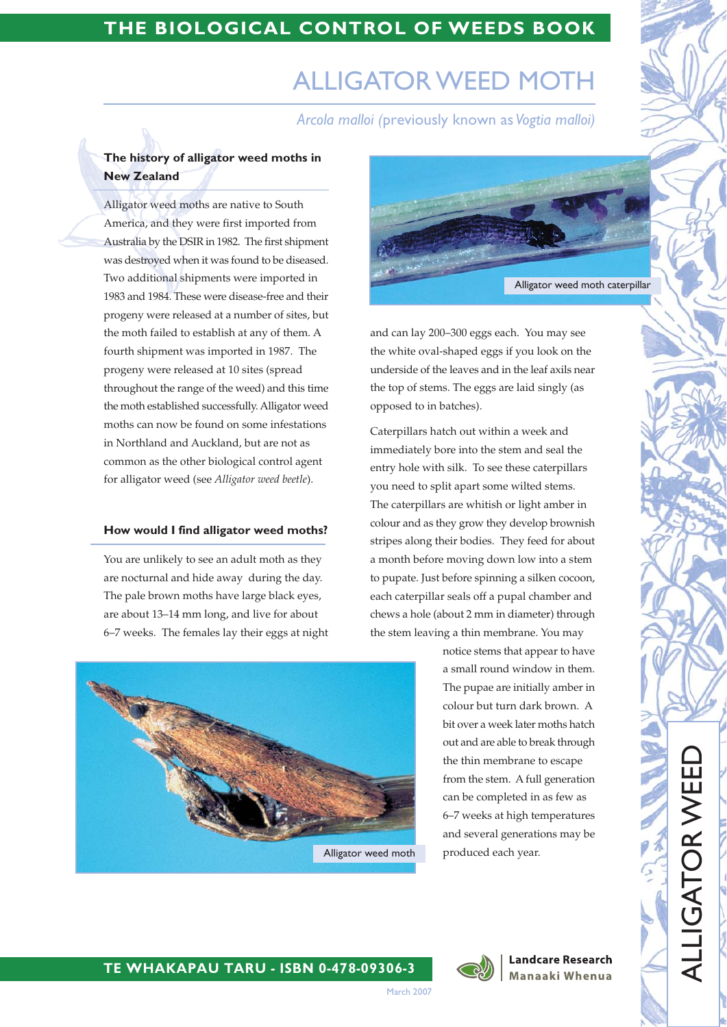# THE BIOLOGICAL CONTROL OF WEEDS BOOK

# **ALLIGATOR WEED MOTH**

Arcola malloi (previously known as Vogtia malloi)

# The history of alligator weed moths in **New Zealand**

Alligator weed moths are native to South America, and they were first imported from Australia by the DSIR in 1982. The first shipment was destroyed when it was found to be diseased. Two additional shipments were imported in 1983 and 1984. These were disease-free and their progeny were released at a number of sites, but the moth failed to establish at any of them. A fourth shipment was imported in 1987. The progeny were released at 10 sites (spread throughout the range of the weed) and this time the moth established successfully. Alligator weed moths can now be found on some infestations in Northland and Auckland, but are not as common as the other biological control agent for alligator weed (see Alligator weed beetle).

#### How would I find alligator weed moths?

You are unlikely to see an adult moth as they are nocturnal and hide away during the day. The pale brown moths have large black eyes, are about 13-14 mm long, and live for about 6-7 weeks. The females lay their eggs at night



and can lay 200-300 eggs each. You may see the white oval-shaped eggs if you look on the underside of the leaves and in the leaf axils near the top of stems. The eggs are laid singly (as opposed to in batches).

Caterpillars hatch out within a week and immediately bore into the stem and seal the entry hole with silk. To see these caterpillars you need to split apart some wilted stems. The caterpillars are whitish or light amber in colour and as they grow they develop brownish stripes along their bodies. They feed for about a month before moving down low into a stem to pupate. Just before spinning a silken cocoon, each caterpillar seals off a pupal chamber and chews a hole (about 2 mm in diameter) through the stem leaving a thin membrane. You may



notice stems that appear to have a small round window in them. The pupae are initially amber in colour but turn dark brown. A bit over a week later moths hatch out and are able to break through the thin membrane to escape from the stem. A full generation can be completed in as few as 6-7 weeks at high temperatures and several generations may be produced each year.



**Landcare Research** Manaaki Whenua **ALLIGATOR WEE** 

### TE WHAKAPAU TARU - ISBN 0-478-09306-3